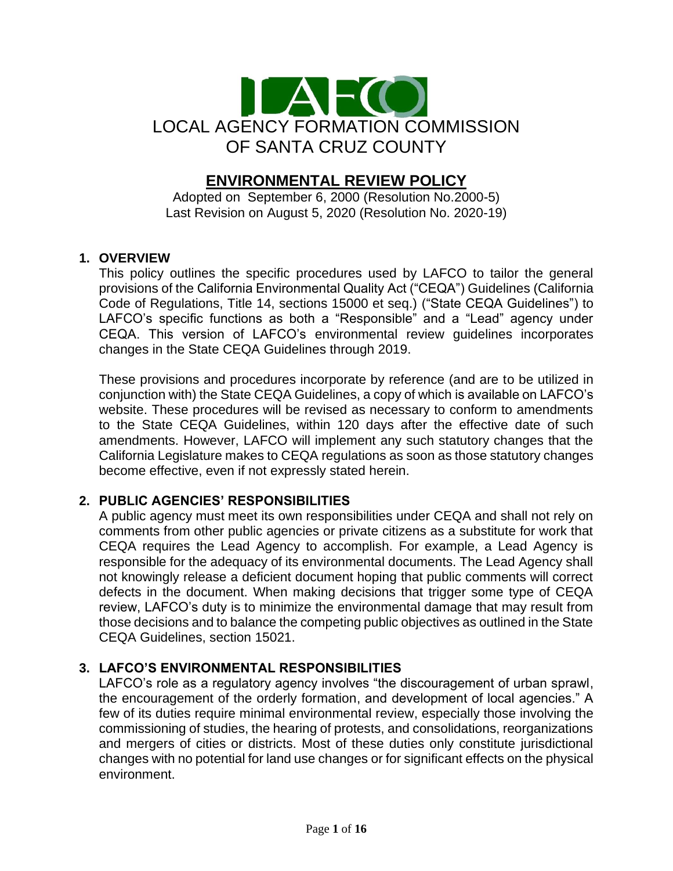

# **ENVIRONMENTAL REVIEW POLICY**

Adopted on September 6, 2000 (Resolution No.2000-5) Last Revision on August 5, 2020 (Resolution No. 2020-19)

#### **1. OVERVIEW**

This policy outlines the specific procedures used by LAFCO to tailor the general provisions of the California Environmental Quality Act ("CEQA") Guidelines (California Code of Regulations, Title 14, sections 15000 et seq.) ("State CEQA Guidelines") to LAFCO's specific functions as both a "Responsible" and a "Lead" agency under CEQA. This version of LAFCO's environmental review guidelines incorporates changes in the State CEQA Guidelines through 2019.

These provisions and procedures incorporate by reference (and are to be utilized in conjunction with) the State CEQA Guidelines, a copy of which is available on LAFCO's website. These procedures will be revised as necessary to conform to amendments to the State CEQA Guidelines, within 120 days after the effective date of such amendments. However, LAFCO will implement any such statutory changes that the California Legislature makes to CEQA regulations as soon as those statutory changes become effective, even if not expressly stated herein.

# **2. PUBLIC AGENCIES' RESPONSIBILITIES**

A public agency must meet its own responsibilities under CEQA and shall not rely on comments from other public agencies or private citizens as a substitute for work that CEQA requires the Lead Agency to accomplish. For example, a Lead Agency is responsible for the adequacy of its environmental documents. The Lead Agency shall not knowingly release a deficient document hoping that public comments will correct defects in the document. When making decisions that trigger some type of CEQA review, LAFCO's duty is to minimize the environmental damage that may result from those decisions and to balance the competing public objectives as outlined in the State CEQA Guidelines, section 15021.

# **3. LAFCO'S ENVIRONMENTAL RESPONSIBILITIES**

LAFCO's role as a regulatory agency involves "the discouragement of urban sprawl, the encouragement of the orderly formation, and development of local agencies." A few of its duties require minimal environmental review, especially those involving the commissioning of studies, the hearing of protests, and consolidations, reorganizations and mergers of cities or districts. Most of these duties only constitute jurisdictional changes with no potential for land use changes or for significant effects on the physical environment.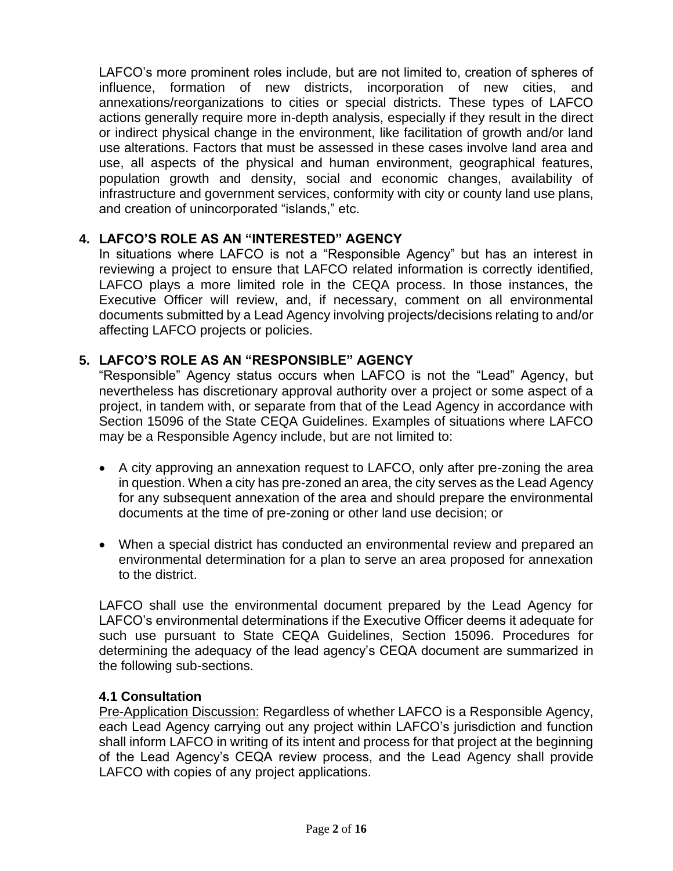LAFCO's more prominent roles include, but are not limited to, creation of spheres of influence, formation of new districts, incorporation of new cities, and annexations/reorganizations to cities or special districts. These types of LAFCO actions generally require more in-depth analysis, especially if they result in the direct or indirect physical change in the environment, like facilitation of growth and/or land use alterations. Factors that must be assessed in these cases involve land area and use, all aspects of the physical and human environment, geographical features, population growth and density, social and economic changes, availability of infrastructure and government services, conformity with city or county land use plans, and creation of unincorporated "islands," etc.

# **4. LAFCO'S ROLE AS AN "INTERESTED" AGENCY**

In situations where LAFCO is not a "Responsible Agency" but has an interest in reviewing a project to ensure that LAFCO related information is correctly identified, LAFCO plays a more limited role in the CEQA process. In those instances, the Executive Officer will review, and, if necessary, comment on all environmental documents submitted by a Lead Agency involving projects/decisions relating to and/or affecting LAFCO projects or policies.

#### **5. LAFCO'S ROLE AS AN "RESPONSIBLE" AGENCY**

"Responsible" Agency status occurs when LAFCO is not the "Lead" Agency, but nevertheless has discretionary approval authority over a project or some aspect of a project, in tandem with, or separate from that of the Lead Agency in accordance with Section 15096 of the State CEQA Guidelines. Examples of situations where LAFCO may be a Responsible Agency include, but are not limited to:

- A city approving an annexation request to LAFCO, only after pre-zoning the area in question. When a city has pre-zoned an area, the city serves as the Lead Agency for any subsequent annexation of the area and should prepare the environmental documents at the time of pre-zoning or other land use decision; or
- When a special district has conducted an environmental review and prepared an environmental determination for a plan to serve an area proposed for annexation to the district.

LAFCO shall use the environmental document prepared by the Lead Agency for LAFCO's environmental determinations if the Executive Officer deems it adequate for such use pursuant to State CEQA Guidelines, Section 15096. Procedures for determining the adequacy of the lead agency's CEQA document are summarized in the following sub-sections.

#### **4.1 Consultation**

Pre-Application Discussion: Regardless of whether LAFCO is a Responsible Agency, each Lead Agency carrying out any project within LAFCO's jurisdiction and function shall inform LAFCO in writing of its intent and process for that project at the beginning of the Lead Agency's CEQA review process, and the Lead Agency shall provide LAFCO with copies of any project applications.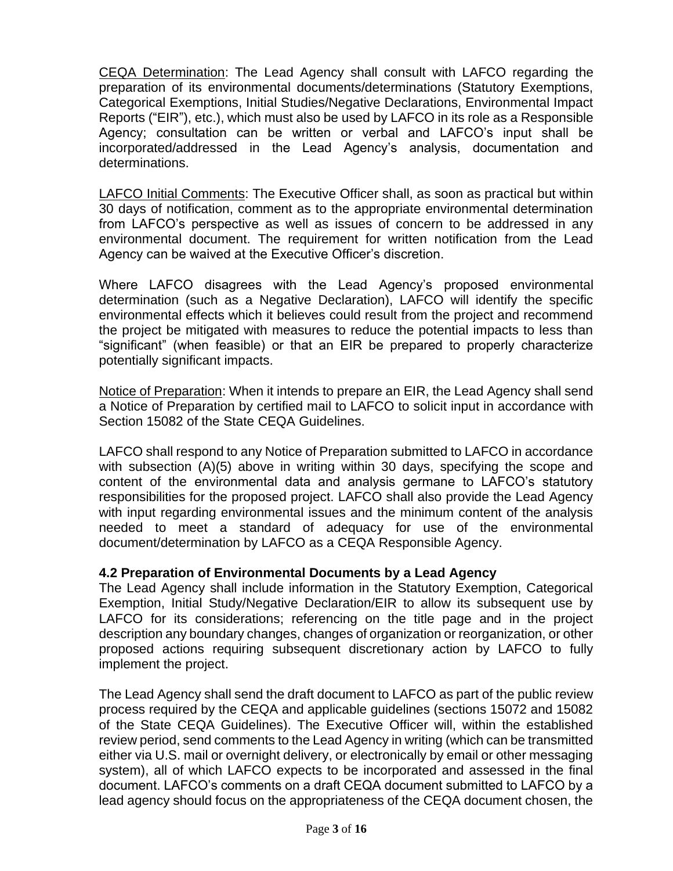CEQA Determination: The Lead Agency shall consult with LAFCO regarding the preparation of its environmental documents/determinations (Statutory Exemptions, Categorical Exemptions, Initial Studies/Negative Declarations, Environmental Impact Reports ("EIR"), etc.), which must also be used by LAFCO in its role as a Responsible Agency; consultation can be written or verbal and LAFCO's input shall be incorporated/addressed in the Lead Agency's analysis, documentation and determinations.

LAFCO Initial Comments: The Executive Officer shall, as soon as practical but within 30 days of notification, comment as to the appropriate environmental determination from LAFCO's perspective as well as issues of concern to be addressed in any environmental document. The requirement for written notification from the Lead Agency can be waived at the Executive Officer's discretion.

Where LAFCO disagrees with the Lead Agency's proposed environmental determination (such as a Negative Declaration), LAFCO will identify the specific environmental effects which it believes could result from the project and recommend the project be mitigated with measures to reduce the potential impacts to less than "significant" (when feasible) or that an EIR be prepared to properly characterize potentially significant impacts.

Notice of Preparation: When it intends to prepare an EIR, the Lead Agency shall send a Notice of Preparation by certified mail to LAFCO to solicit input in accordance with Section 15082 of the State CEQA Guidelines.

LAFCO shall respond to any Notice of Preparation submitted to LAFCO in accordance with subsection (A)(5) above in writing within 30 days, specifying the scope and content of the environmental data and analysis germane to LAFCO's statutory responsibilities for the proposed project. LAFCO shall also provide the Lead Agency with input regarding environmental issues and the minimum content of the analysis needed to meet a standard of adequacy for use of the environmental document/determination by LAFCO as a CEQA Responsible Agency.

# **4.2 Preparation of Environmental Documents by a Lead Agency**

The Lead Agency shall include information in the Statutory Exemption, Categorical Exemption, Initial Study/Negative Declaration/EIR to allow its subsequent use by LAFCO for its considerations; referencing on the title page and in the project description any boundary changes, changes of organization or reorganization, or other proposed actions requiring subsequent discretionary action by LAFCO to fully implement the project.

The Lead Agency shall send the draft document to LAFCO as part of the public review process required by the CEQA and applicable guidelines (sections 15072 and 15082 of the State CEQA Guidelines). The Executive Officer will, within the established review period, send comments to the Lead Agency in writing (which can be transmitted either via U.S. mail or overnight delivery, or electronically by email or other messaging system), all of which LAFCO expects to be incorporated and assessed in the final document. LAFCO's comments on a draft CEQA document submitted to LAFCO by a lead agency should focus on the appropriateness of the CEQA document chosen, the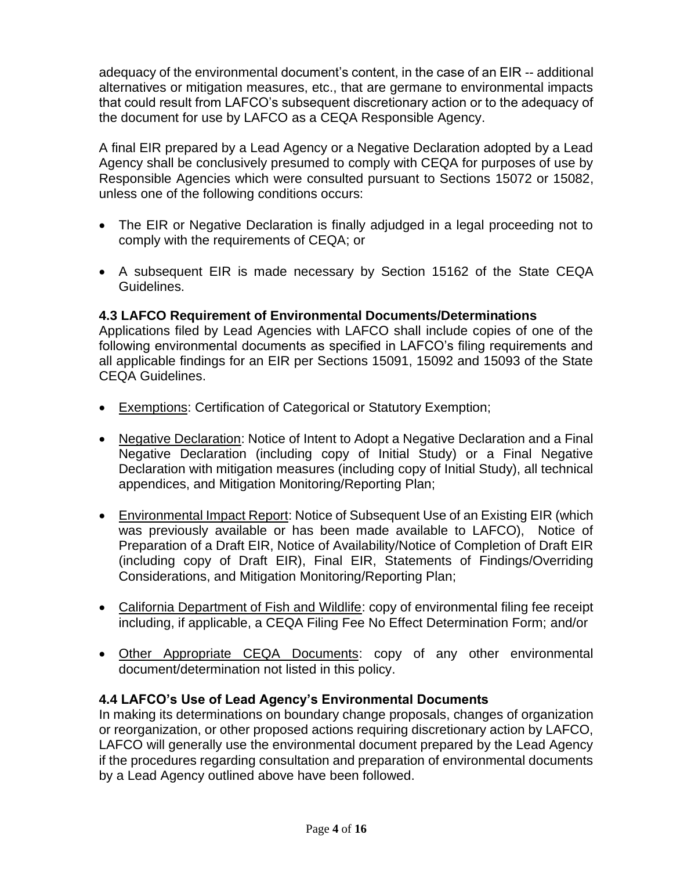adequacy of the environmental document's content, in the case of an EIR -- additional alternatives or mitigation measures, etc., that are germane to environmental impacts that could result from LAFCO's subsequent discretionary action or to the adequacy of the document for use by LAFCO as a CEQA Responsible Agency.

A final EIR prepared by a Lead Agency or a Negative Declaration adopted by a Lead Agency shall be conclusively presumed to comply with CEQA for purposes of use by Responsible Agencies which were consulted pursuant to Sections 15072 or 15082, unless one of the following conditions occurs:

- The EIR or Negative Declaration is finally adjudged in a legal proceeding not to comply with the requirements of CEQA; or
- A subsequent EIR is made necessary by Section 15162 of the State CEQA Guidelines.

# **4.3 LAFCO Requirement of Environmental Documents/Determinations**

Applications filed by Lead Agencies with LAFCO shall include copies of one of the following environmental documents as specified in LAFCO's filing requirements and all applicable findings for an EIR per Sections 15091, 15092 and 15093 of the State CEQA Guidelines.

- Exemptions: Certification of Categorical or Statutory Exemption;
- Negative Declaration: Notice of Intent to Adopt a Negative Declaration and a Final Negative Declaration (including copy of Initial Study) or a Final Negative Declaration with mitigation measures (including copy of Initial Study), all technical appendices, and Mitigation Monitoring/Reporting Plan;
- Environmental Impact Report: Notice of Subsequent Use of an Existing EIR (which was previously available or has been made available to LAFCO), Notice of Preparation of a Draft EIR, Notice of Availability/Notice of Completion of Draft EIR (including copy of Draft EIR), Final EIR, Statements of Findings/Overriding Considerations, and Mitigation Monitoring/Reporting Plan;
- California Department of Fish and Wildlife: copy of environmental filing fee receipt including, if applicable, a CEQA Filing Fee No Effect Determination Form; and/or
- Other Appropriate CEQA Documents: copy of any other environmental document/determination not listed in this policy.

# **4.4 LAFCO's Use of Lead Agency's Environmental Documents**

In making its determinations on boundary change proposals, changes of organization or reorganization, or other proposed actions requiring discretionary action by LAFCO, LAFCO will generally use the environmental document prepared by the Lead Agency if the procedures regarding consultation and preparation of environmental documents by a Lead Agency outlined above have been followed.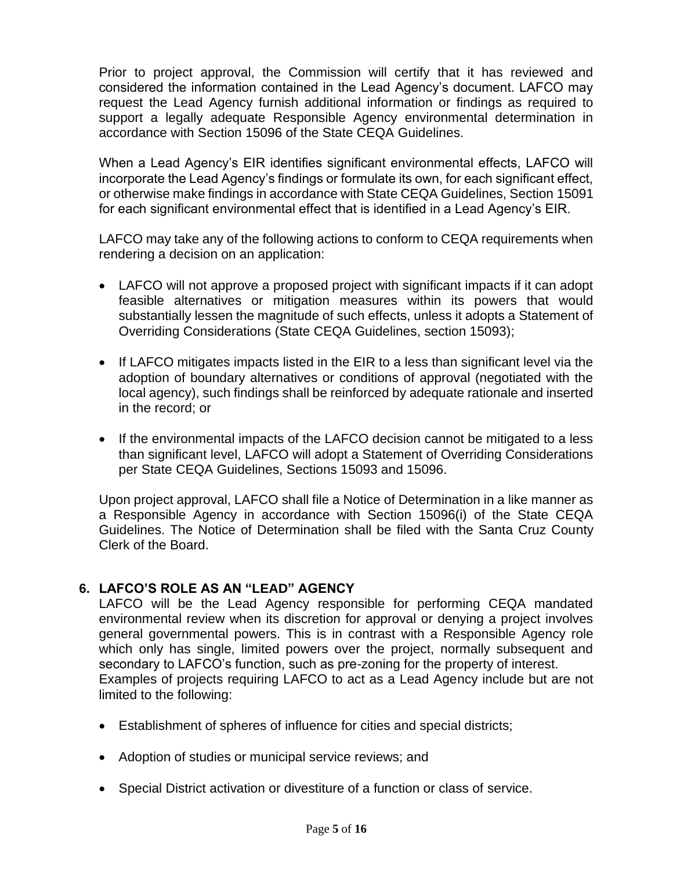Prior to project approval, the Commission will certify that it has reviewed and considered the information contained in the Lead Agency's document. LAFCO may request the Lead Agency furnish additional information or findings as required to support a legally adequate Responsible Agency environmental determination in accordance with Section 15096 of the State CEQA Guidelines.

When a Lead Agency's EIR identifies significant environmental effects, LAFCO will incorporate the Lead Agency's findings or formulate its own, for each significant effect, or otherwise make findings in accordance with State CEQA Guidelines, Section 15091 for each significant environmental effect that is identified in a Lead Agency's EIR.

LAFCO may take any of the following actions to conform to CEQA requirements when rendering a decision on an application:

- LAFCO will not approve a proposed project with significant impacts if it can adopt feasible alternatives or mitigation measures within its powers that would substantially lessen the magnitude of such effects, unless it adopts a Statement of Overriding Considerations (State CEQA Guidelines, section 15093);
- If LAFCO mitigates impacts listed in the EIR to a less than significant level via the adoption of boundary alternatives or conditions of approval (negotiated with the local agency), such findings shall be reinforced by adequate rationale and inserted in the record; or
- If the environmental impacts of the LAFCO decision cannot be mitigated to a less than significant level, LAFCO will adopt a Statement of Overriding Considerations per State CEQA Guidelines, Sections 15093 and 15096.

Upon project approval, LAFCO shall file a Notice of Determination in a like manner as a Responsible Agency in accordance with Section 15096(i) of the State CEQA Guidelines. The Notice of Determination shall be filed with the Santa Cruz County Clerk of the Board.

# **6. LAFCO'S ROLE AS AN "LEAD" AGENCY**

LAFCO will be the Lead Agency responsible for performing CEQA mandated environmental review when its discretion for approval or denying a project involves general governmental powers. This is in contrast with a Responsible Agency role which only has single, limited powers over the project, normally subsequent and secondary to LAFCO's function, such as pre-zoning for the property of interest. Examples of projects requiring LAFCO to act as a Lead Agency include but are not limited to the following:

- Establishment of spheres of influence for cities and special districts;
- Adoption of studies or municipal service reviews; and
- Special District activation or divestiture of a function or class of service.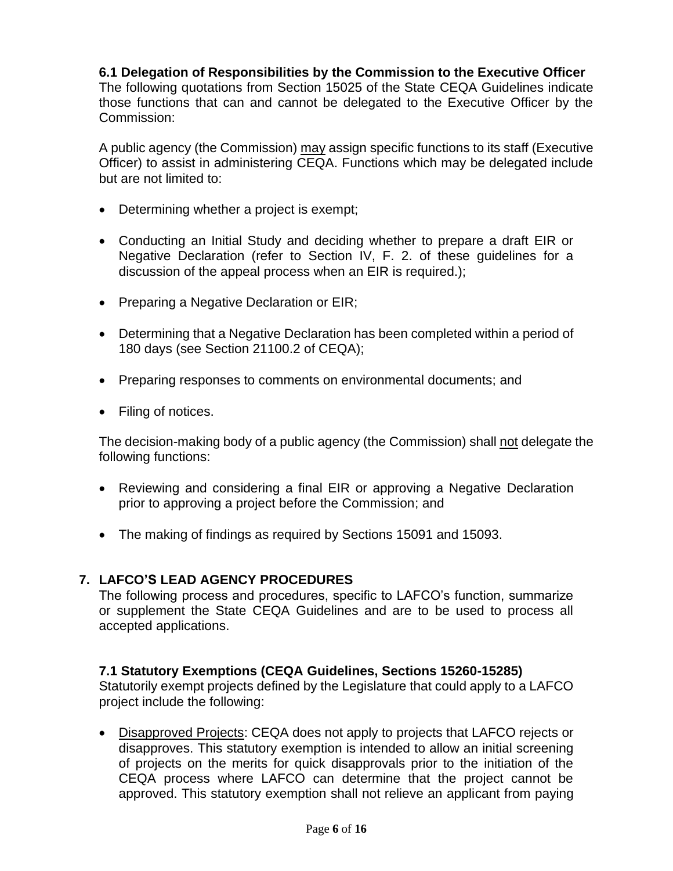#### **6.1 Delegation of Responsibilities by the Commission to the Executive Officer**

The following quotations from Section 15025 of the State CEQA Guidelines indicate those functions that can and cannot be delegated to the Executive Officer by the Commission:

A public agency (the Commission) may assign specific functions to its staff (Executive Officer) to assist in administering CEQA. Functions which may be delegated include but are not limited to:

- Determining whether a project is exempt;
- Conducting an Initial Study and deciding whether to prepare a draft EIR or Negative Declaration (refer to Section IV, F. 2. of these guidelines for a discussion of the appeal process when an EIR is required.);
- Preparing a Negative Declaration or EIR;
- Determining that a Negative Declaration has been completed within a period of 180 days (see Section 21100.2 of CEQA);
- Preparing responses to comments on environmental documents; and
- Filing of notices.

The decision-making body of a public agency (the Commission) shall not delegate the following functions:

- Reviewing and considering a final EIR or approving a Negative Declaration prior to approving a project before the Commission; and
- The making of findings as required by Sections 15091 and 15093.

#### **7. LAFCO'S LEAD AGENCY PROCEDURES**

The following process and procedures, specific to LAFCO's function, summarize or supplement the State CEQA Guidelines and are to be used to process all accepted applications.

#### **7.1 Statutory Exemptions (CEQA Guidelines, Sections 15260-15285)**

Statutorily exempt projects defined by the Legislature that could apply to a LAFCO project include the following:

• Disapproved Projects: CEQA does not apply to projects that LAFCO rejects or disapproves. This statutory exemption is intended to allow an initial screening of projects on the merits for quick disapprovals prior to the initiation of the CEQA process where LAFCO can determine that the project cannot be approved. This statutory exemption shall not relieve an applicant from paying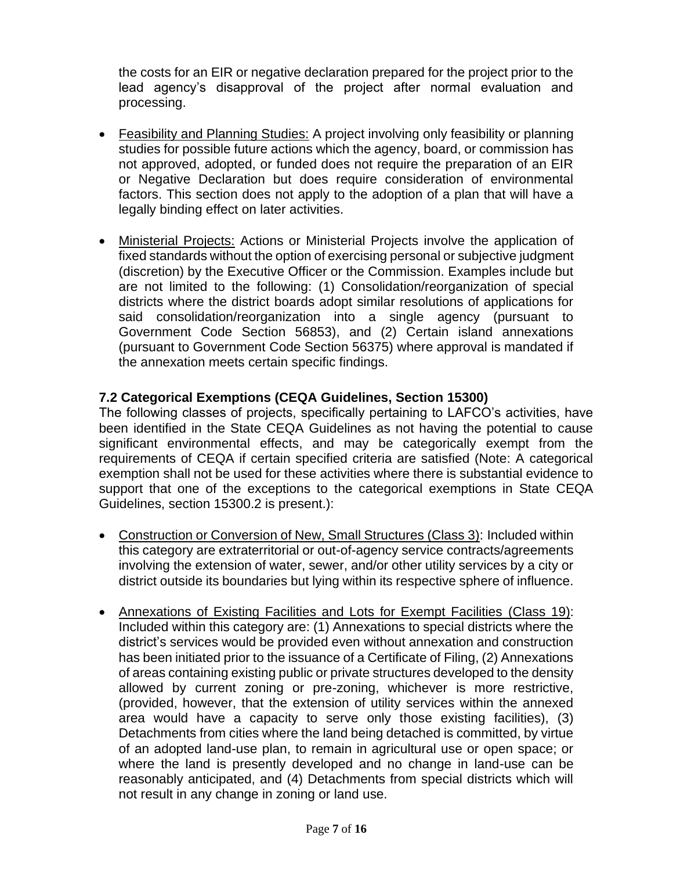the costs for an EIR or negative declaration prepared for the project prior to the lead agency's disapproval of the project after normal evaluation and processing.

- Feasibility and Planning Studies: A project involving only feasibility or planning studies for possible future actions which the agency, board, or commission has not approved, adopted, or funded does not require the preparation of an EIR or Negative Declaration but does require consideration of environmental factors. This section does not apply to the adoption of a plan that will have a legally binding effect on later activities.
- Ministerial Projects: Actions or Ministerial Projects involve the application of fixed standards without the option of exercising personal or subjective judgment (discretion) by the Executive Officer or the Commission. Examples include but are not limited to the following: (1) Consolidation/reorganization of special districts where the district boards adopt similar resolutions of applications for said consolidation/reorganization into a single agency (pursuant to Government Code Section 56853), and (2) Certain island annexations (pursuant to Government Code Section 56375) where approval is mandated if the annexation meets certain specific findings.

#### **7.2 Categorical Exemptions (CEQA Guidelines, Section 15300)**

The following classes of projects, specifically pertaining to LAFCO's activities, have been identified in the State CEQA Guidelines as not having the potential to cause significant environmental effects, and may be categorically exempt from the requirements of CEQA if certain specified criteria are satisfied (Note: A categorical exemption shall not be used for these activities where there is substantial evidence to support that one of the exceptions to the categorical exemptions in State CEQA Guidelines, section 15300.2 is present.):

- Construction or Conversion of New, Small Structures (Class 3): Included within this category are extraterritorial or out-of-agency service contracts/agreements involving the extension of water, sewer, and/or other utility services by a city or district outside its boundaries but lying within its respective sphere of influence.
- Annexations of Existing Facilities and Lots for Exempt Facilities (Class 19): Included within this category are: (1) Annexations to special districts where the district's services would be provided even without annexation and construction has been initiated prior to the issuance of a Certificate of Filing, (2) Annexations of areas containing existing public or private structures developed to the density allowed by current zoning or pre-zoning, whichever is more restrictive, (provided, however, that the extension of utility services within the annexed area would have a capacity to serve only those existing facilities), (3) Detachments from cities where the land being detached is committed, by virtue of an adopted land-use plan, to remain in agricultural use or open space; or where the land is presently developed and no change in land-use can be reasonably anticipated, and (4) Detachments from special districts which will not result in any change in zoning or land use.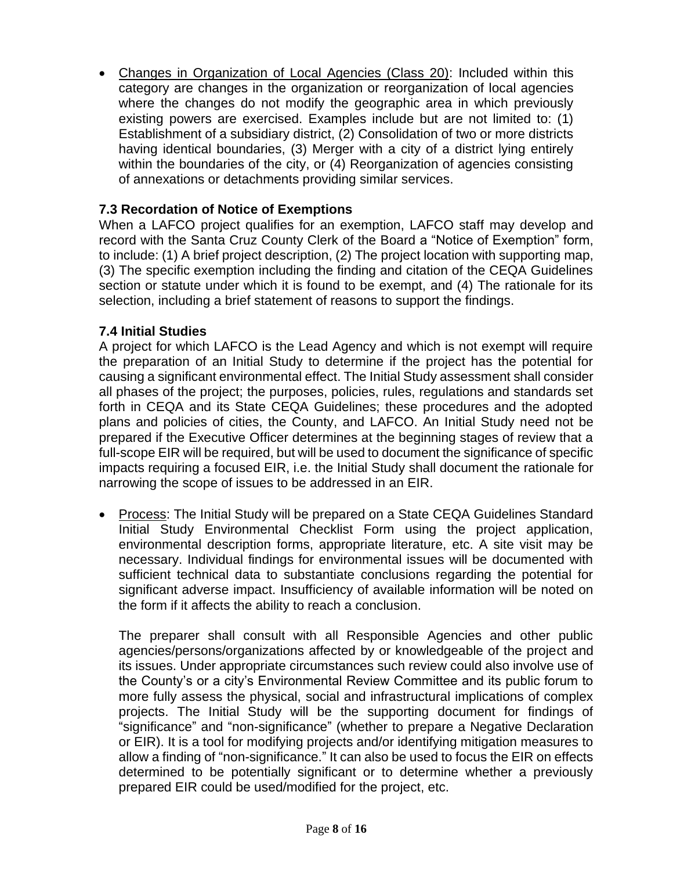• Changes in Organization of Local Agencies (Class 20): Included within this category are changes in the organization or reorganization of local agencies where the changes do not modify the geographic area in which previously existing powers are exercised. Examples include but are not limited to: (1) Establishment of a subsidiary district, (2) Consolidation of two or more districts having identical boundaries, (3) Merger with a city of a district lying entirely within the boundaries of the city, or (4) Reorganization of agencies consisting of annexations or detachments providing similar services.

### **7.3 Recordation of Notice of Exemptions**

When a LAFCO project qualifies for an exemption, LAFCO staff may develop and record with the Santa Cruz County Clerk of the Board a "Notice of Exemption" form, to include: (1) A brief project description, (2) The project location with supporting map, (3) The specific exemption including the finding and citation of the CEQA Guidelines section or statute under which it is found to be exempt, and (4) The rationale for its selection, including a brief statement of reasons to support the findings.

#### **7.4 Initial Studies**

A project for which LAFCO is the Lead Agency and which is not exempt will require the preparation of an Initial Study to determine if the project has the potential for causing a significant environmental effect. The Initial Study assessment shall consider all phases of the project; the purposes, policies, rules, regulations and standards set forth in CEQA and its State CEQA Guidelines; these procedures and the adopted plans and policies of cities, the County, and LAFCO. An Initial Study need not be prepared if the Executive Officer determines at the beginning stages of review that a full-scope EIR will be required, but will be used to document the significance of specific impacts requiring a focused EIR, i.e. the Initial Study shall document the rationale for narrowing the scope of issues to be addressed in an EIR.

• Process: The Initial Study will be prepared on a State CEQA Guidelines Standard Initial Study Environmental Checklist Form using the project application, environmental description forms, appropriate literature, etc. A site visit may be necessary. Individual findings for environmental issues will be documented with sufficient technical data to substantiate conclusions regarding the potential for significant adverse impact. Insufficiency of available information will be noted on the form if it affects the ability to reach a conclusion.

The preparer shall consult with all Responsible Agencies and other public agencies/persons/organizations affected by or knowledgeable of the project and its issues. Under appropriate circumstances such review could also involve use of the County's or a city's Environmental Review Committee and its public forum to more fully assess the physical, social and infrastructural implications of complex projects. The Initial Study will be the supporting document for findings of "significance" and "non-significance" (whether to prepare a Negative Declaration or EIR). It is a tool for modifying projects and/or identifying mitigation measures to allow a finding of "non-significance." It can also be used to focus the EIR on effects determined to be potentially significant or to determine whether a previously prepared EIR could be used/modified for the project, etc.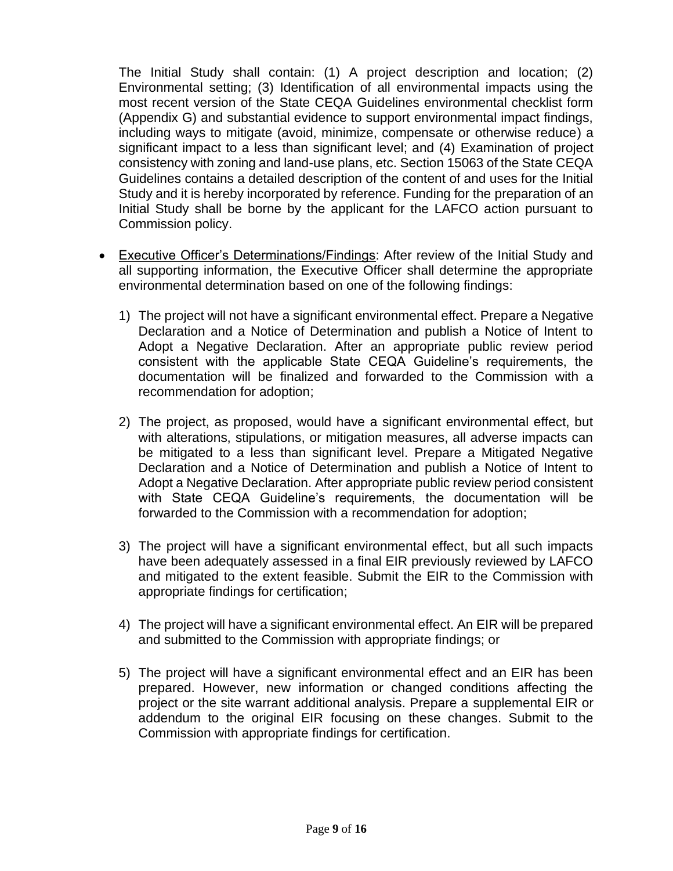The Initial Study shall contain: (1) A project description and location; (2) Environmental setting; (3) Identification of all environmental impacts using the most recent version of the State CEQA Guidelines environmental checklist form (Appendix G) and substantial evidence to support environmental impact findings, including ways to mitigate (avoid, minimize, compensate or otherwise reduce) a significant impact to a less than significant level; and (4) Examination of project consistency with zoning and land-use plans, etc. Section 15063 of the State CEQA Guidelines contains a detailed description of the content of and uses for the Initial Study and it is hereby incorporated by reference. Funding for the preparation of an Initial Study shall be borne by the applicant for the LAFCO action pursuant to Commission policy.

- Executive Officer's Determinations/Findings: After review of the Initial Study and all supporting information, the Executive Officer shall determine the appropriate environmental determination based on one of the following findings:
	- 1) The project will not have a significant environmental effect. Prepare a Negative Declaration and a Notice of Determination and publish a Notice of Intent to Adopt a Negative Declaration. After an appropriate public review period consistent with the applicable State CEQA Guideline's requirements, the documentation will be finalized and forwarded to the Commission with a recommendation for adoption;
	- 2) The project, as proposed, would have a significant environmental effect, but with alterations, stipulations, or mitigation measures, all adverse impacts can be mitigated to a less than significant level. Prepare a Mitigated Negative Declaration and a Notice of Determination and publish a Notice of Intent to Adopt a Negative Declaration. After appropriate public review period consistent with State CEQA Guideline's requirements, the documentation will be forwarded to the Commission with a recommendation for adoption;
	- 3) The project will have a significant environmental effect, but all such impacts have been adequately assessed in a final EIR previously reviewed by LAFCO and mitigated to the extent feasible. Submit the EIR to the Commission with appropriate findings for certification;
	- 4) The project will have a significant environmental effect. An EIR will be prepared and submitted to the Commission with appropriate findings; or
	- 5) The project will have a significant environmental effect and an EIR has been prepared. However, new information or changed conditions affecting the project or the site warrant additional analysis. Prepare a supplemental EIR or addendum to the original EIR focusing on these changes. Submit to the Commission with appropriate findings for certification.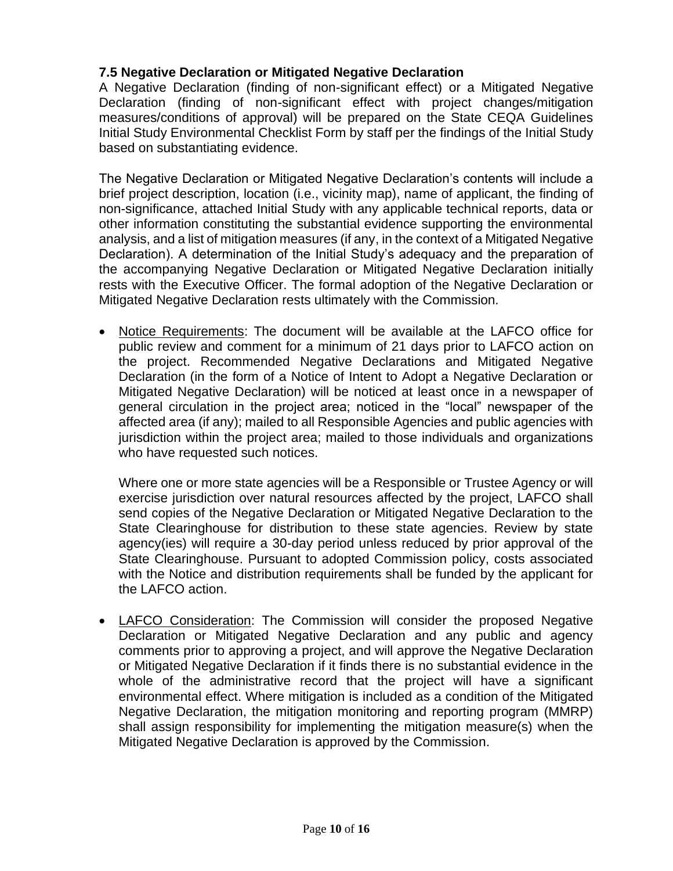### **7.5 Negative Declaration or Mitigated Negative Declaration**

A Negative Declaration (finding of non-significant effect) or a Mitigated Negative Declaration (finding of non-significant effect with project changes/mitigation measures/conditions of approval) will be prepared on the State CEQA Guidelines Initial Study Environmental Checklist Form by staff per the findings of the Initial Study based on substantiating evidence.

The Negative Declaration or Mitigated Negative Declaration's contents will include a brief project description, location (i.e., vicinity map), name of applicant, the finding of non-significance, attached Initial Study with any applicable technical reports, data or other information constituting the substantial evidence supporting the environmental analysis, and a list of mitigation measures (if any, in the context of a Mitigated Negative Declaration). A determination of the Initial Study's adequacy and the preparation of the accompanying Negative Declaration or Mitigated Negative Declaration initially rests with the Executive Officer. The formal adoption of the Negative Declaration or Mitigated Negative Declaration rests ultimately with the Commission.

• Notice Requirements: The document will be available at the LAFCO office for public review and comment for a minimum of 21 days prior to LAFCO action on the project. Recommended Negative Declarations and Mitigated Negative Declaration (in the form of a Notice of Intent to Adopt a Negative Declaration or Mitigated Negative Declaration) will be noticed at least once in a newspaper of general circulation in the project area; noticed in the "local" newspaper of the affected area (if any); mailed to all Responsible Agencies and public agencies with jurisdiction within the project area; mailed to those individuals and organizations who have requested such notices.

Where one or more state agencies will be a Responsible or Trustee Agency or will exercise jurisdiction over natural resources affected by the project, LAFCO shall send copies of the Negative Declaration or Mitigated Negative Declaration to the State Clearinghouse for distribution to these state agencies. Review by state agency(ies) will require a 30-day period unless reduced by prior approval of the State Clearinghouse. Pursuant to adopted Commission policy, costs associated with the Notice and distribution requirements shall be funded by the applicant for the LAFCO action.

• LAFCO Consideration: The Commission will consider the proposed Negative Declaration or Mitigated Negative Declaration and any public and agency comments prior to approving a project, and will approve the Negative Declaration or Mitigated Negative Declaration if it finds there is no substantial evidence in the whole of the administrative record that the project will have a significant environmental effect. Where mitigation is included as a condition of the Mitigated Negative Declaration, the mitigation monitoring and reporting program (MMRP) shall assign responsibility for implementing the mitigation measure(s) when the Mitigated Negative Declaration is approved by the Commission.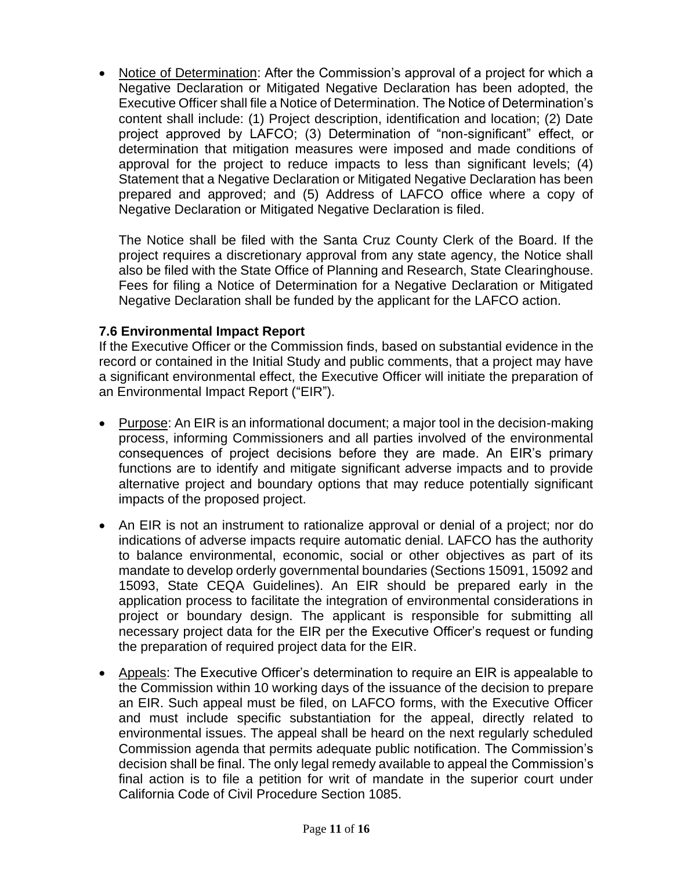• Notice of Determination: After the Commission's approval of a project for which a Negative Declaration or Mitigated Negative Declaration has been adopted, the Executive Officer shall file a Notice of Determination. The Notice of Determination's content shall include: (1) Project description, identification and location; (2) Date project approved by LAFCO; (3) Determination of "non-significant" effect, or determination that mitigation measures were imposed and made conditions of approval for the project to reduce impacts to less than significant levels; (4) Statement that a Negative Declaration or Mitigated Negative Declaration has been prepared and approved; and (5) Address of LAFCO office where a copy of Negative Declaration or Mitigated Negative Declaration is filed.

The Notice shall be filed with the Santa Cruz County Clerk of the Board. If the project requires a discretionary approval from any state agency, the Notice shall also be filed with the State Office of Planning and Research, State Clearinghouse. Fees for filing a Notice of Determination for a Negative Declaration or Mitigated Negative Declaration shall be funded by the applicant for the LAFCO action.

#### **7.6 Environmental Impact Report**

If the Executive Officer or the Commission finds, based on substantial evidence in the record or contained in the Initial Study and public comments, that a project may have a significant environmental effect, the Executive Officer will initiate the preparation of an Environmental Impact Report ("EIR").

- Purpose: An EIR is an informational document; a major tool in the decision-making process, informing Commissioners and all parties involved of the environmental consequences of project decisions before they are made. An EIR's primary functions are to identify and mitigate significant adverse impacts and to provide alternative project and boundary options that may reduce potentially significant impacts of the proposed project.
- An EIR is not an instrument to rationalize approval or denial of a project; nor do indications of adverse impacts require automatic denial. LAFCO has the authority to balance environmental, economic, social or other objectives as part of its mandate to develop orderly governmental boundaries (Sections 15091, 15092 and 15093, State CEQA Guidelines). An EIR should be prepared early in the application process to facilitate the integration of environmental considerations in project or boundary design. The applicant is responsible for submitting all necessary project data for the EIR per the Executive Officer's request or funding the preparation of required project data for the EIR.
- Appeals: The Executive Officer's determination to require an EIR is appealable to the Commission within 10 working days of the issuance of the decision to prepare an EIR. Such appeal must be filed, on LAFCO forms, with the Executive Officer and must include specific substantiation for the appeal, directly related to environmental issues. The appeal shall be heard on the next regularly scheduled Commission agenda that permits adequate public notification. The Commission's decision shall be final. The only legal remedy available to appeal the Commission's final action is to file a petition for writ of mandate in the superior court under California Code of Civil Procedure Section 1085.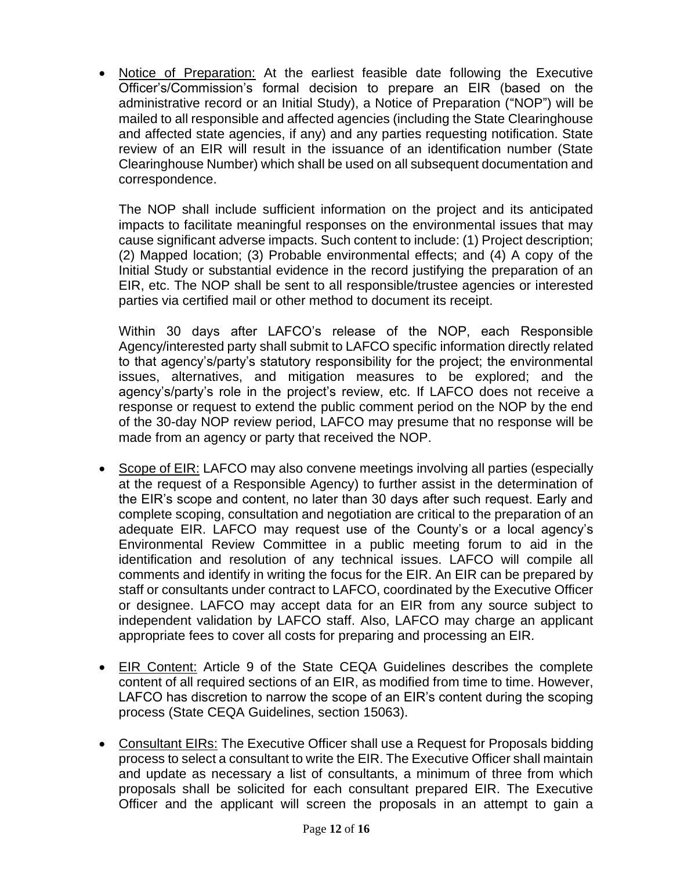• Notice of Preparation: At the earliest feasible date following the Executive Officer's/Commission's formal decision to prepare an EIR (based on the administrative record or an Initial Study), a Notice of Preparation ("NOP") will be mailed to all responsible and affected agencies (including the State Clearinghouse and affected state agencies, if any) and any parties requesting notification. State review of an EIR will result in the issuance of an identification number (State Clearinghouse Number) which shall be used on all subsequent documentation and correspondence.

The NOP shall include sufficient information on the project and its anticipated impacts to facilitate meaningful responses on the environmental issues that may cause significant adverse impacts. Such content to include: (1) Project description; (2) Mapped location; (3) Probable environmental effects; and (4) A copy of the Initial Study or substantial evidence in the record justifying the preparation of an EIR, etc. The NOP shall be sent to all responsible/trustee agencies or interested parties via certified mail or other method to document its receipt.

Within 30 days after LAFCO's release of the NOP, each Responsible Agency/interested party shall submit to LAFCO specific information directly related to that agency's/party's statutory responsibility for the project; the environmental issues, alternatives, and mitigation measures to be explored; and the agency's/party's role in the project's review, etc. If LAFCO does not receive a response or request to extend the public comment period on the NOP by the end of the 30-day NOP review period, LAFCO may presume that no response will be made from an agency or party that received the NOP.

- Scope of EIR: LAFCO may also convene meetings involving all parties (especially at the request of a Responsible Agency) to further assist in the determination of the EIR's scope and content, no later than 30 days after such request. Early and complete scoping, consultation and negotiation are critical to the preparation of an adequate EIR. LAFCO may request use of the County's or a local agency's Environmental Review Committee in a public meeting forum to aid in the identification and resolution of any technical issues. LAFCO will compile all comments and identify in writing the focus for the EIR. An EIR can be prepared by staff or consultants under contract to LAFCO, coordinated by the Executive Officer or designee. LAFCO may accept data for an EIR from any source subject to independent validation by LAFCO staff. Also, LAFCO may charge an applicant appropriate fees to cover all costs for preparing and processing an EIR.
- EIR Content: Article 9 of the State CEQA Guidelines describes the complete content of all required sections of an EIR, as modified from time to time. However, LAFCO has discretion to narrow the scope of an EIR's content during the scoping process (State CEQA Guidelines, section 15063).
- Consultant EIRs: The Executive Officer shall use a Request for Proposals bidding process to select a consultant to write the EIR. The Executive Officer shall maintain and update as necessary a list of consultants, a minimum of three from which proposals shall be solicited for each consultant prepared EIR. The Executive Officer and the applicant will screen the proposals in an attempt to gain a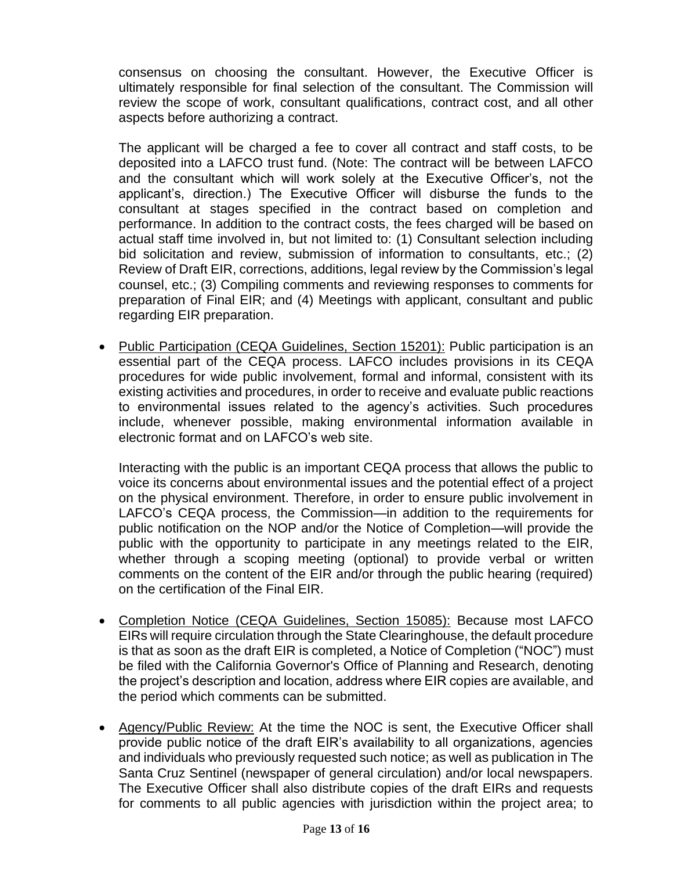consensus on choosing the consultant. However, the Executive Officer is ultimately responsible for final selection of the consultant. The Commission will review the scope of work, consultant qualifications, contract cost, and all other aspects before authorizing a contract.

The applicant will be charged a fee to cover all contract and staff costs, to be deposited into a LAFCO trust fund. (Note: The contract will be between LAFCO and the consultant which will work solely at the Executive Officer's, not the applicant's, direction.) The Executive Officer will disburse the funds to the consultant at stages specified in the contract based on completion and performance. In addition to the contract costs, the fees charged will be based on actual staff time involved in, but not limited to: (1) Consultant selection including bid solicitation and review, submission of information to consultants, etc.; (2) Review of Draft EIR, corrections, additions, legal review by the Commission's legal counsel, etc.; (3) Compiling comments and reviewing responses to comments for preparation of Final EIR; and (4) Meetings with applicant, consultant and public regarding EIR preparation.

• Public Participation (CEQA Guidelines, Section 15201): Public participation is an essential part of the CEQA process. LAFCO includes provisions in its CEQA procedures for wide public involvement, formal and informal, consistent with its existing activities and procedures, in order to receive and evaluate public reactions to environmental issues related to the agency's activities. Such procedures include, whenever possible, making environmental information available in electronic format and on LAFCO's web site.

Interacting with the public is an important CEQA process that allows the public to voice its concerns about environmental issues and the potential effect of a project on the physical environment. Therefore, in order to ensure public involvement in LAFCO's CEQA process, the Commission—in addition to the requirements for public notification on the NOP and/or the Notice of Completion—will provide the public with the opportunity to participate in any meetings related to the EIR, whether through a scoping meeting (optional) to provide verbal or written comments on the content of the EIR and/or through the public hearing (required) on the certification of the Final EIR.

- Completion Notice (CEQA Guidelines, Section 15085): Because most LAFCO EIRs will require circulation through the State Clearinghouse, the default procedure is that as soon as the draft EIR is completed, a Notice of Completion ("NOC") must be filed with the California Governor's Office of Planning and Research, denoting the project's description and location, address where EIR copies are available, and the period which comments can be submitted.
- Agency/Public Review: At the time the NOC is sent, the Executive Officer shall provide public notice of the draft EIR's availability to all organizations, agencies and individuals who previously requested such notice; as well as publication in The Santa Cruz Sentinel (newspaper of general circulation) and/or local newspapers. The Executive Officer shall also distribute copies of the draft EIRs and requests for comments to all public agencies with jurisdiction within the project area; to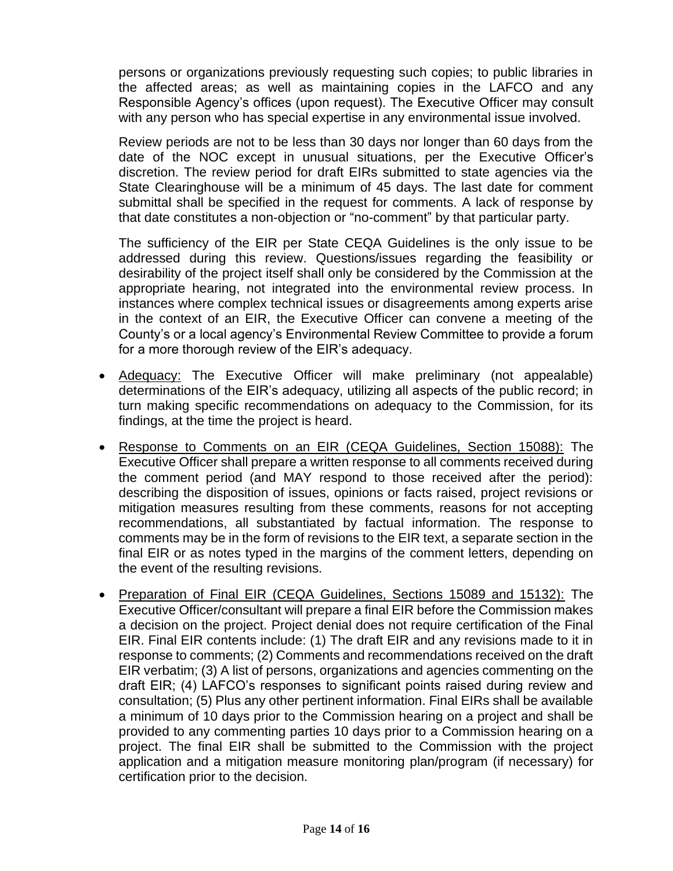persons or organizations previously requesting such copies; to public libraries in the affected areas; as well as maintaining copies in the LAFCO and any Responsible Agency's offices (upon request). The Executive Officer may consult with any person who has special expertise in any environmental issue involved.

Review periods are not to be less than 30 days nor longer than 60 days from the date of the NOC except in unusual situations, per the Executive Officer's discretion. The review period for draft EIRs submitted to state agencies via the State Clearinghouse will be a minimum of 45 days. The last date for comment submittal shall be specified in the request for comments. A lack of response by that date constitutes a non-objection or "no-comment" by that particular party.

The sufficiency of the EIR per State CEQA Guidelines is the only issue to be addressed during this review. Questions/issues regarding the feasibility or desirability of the project itself shall only be considered by the Commission at the appropriate hearing, not integrated into the environmental review process. In instances where complex technical issues or disagreements among experts arise in the context of an EIR, the Executive Officer can convene a meeting of the County's or a local agency's Environmental Review Committee to provide a forum for a more thorough review of the EIR's adequacy.

- Adequacy: The Executive Officer will make preliminary (not appealable) determinations of the EIR's adequacy, utilizing all aspects of the public record; in turn making specific recommendations on adequacy to the Commission, for its findings, at the time the project is heard.
- Response to Comments on an EIR (CEQA Guidelines, Section 15088): The Executive Officer shall prepare a written response to all comments received during the comment period (and MAY respond to those received after the period): describing the disposition of issues, opinions or facts raised, project revisions or mitigation measures resulting from these comments, reasons for not accepting recommendations, all substantiated by factual information. The response to comments may be in the form of revisions to the EIR text, a separate section in the final EIR or as notes typed in the margins of the comment letters, depending on the event of the resulting revisions.
- Preparation of Final EIR (CEQA Guidelines, Sections 15089 and 15132): The Executive Officer/consultant will prepare a final EIR before the Commission makes a decision on the project. Project denial does not require certification of the Final EIR. Final EIR contents include: (1) The draft EIR and any revisions made to it in response to comments; (2) Comments and recommendations received on the draft EIR verbatim; (3) A list of persons, organizations and agencies commenting on the draft EIR; (4) LAFCO's responses to significant points raised during review and consultation; (5) Plus any other pertinent information. Final EIRs shall be available a minimum of 10 days prior to the Commission hearing on a project and shall be provided to any commenting parties 10 days prior to a Commission hearing on a project. The final EIR shall be submitted to the Commission with the project application and a mitigation measure monitoring plan/program (if necessary) for certification prior to the decision.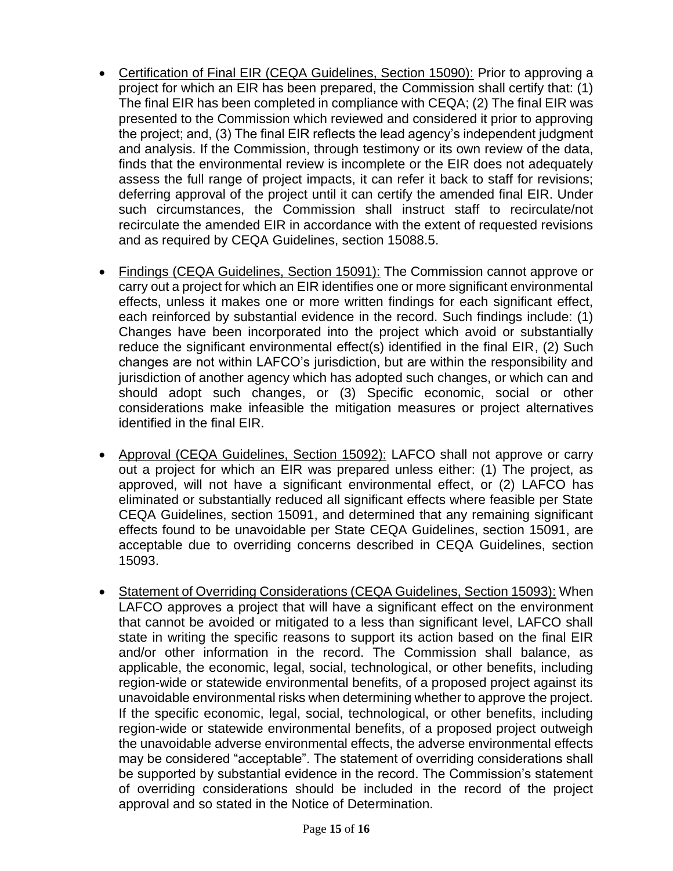- Certification of Final EIR (CEQA Guidelines, Section 15090): Prior to approving a project for which an EIR has been prepared, the Commission shall certify that: (1) The final EIR has been completed in compliance with CEQA; (2) The final EIR was presented to the Commission which reviewed and considered it prior to approving the project; and, (3) The final EIR reflects the lead agency's independent judgment and analysis. If the Commission, through testimony or its own review of the data, finds that the environmental review is incomplete or the EIR does not adequately assess the full range of project impacts, it can refer it back to staff for revisions; deferring approval of the project until it can certify the amended final EIR. Under such circumstances, the Commission shall instruct staff to recirculate/not recirculate the amended EIR in accordance with the extent of requested revisions and as required by CEQA Guidelines, section 15088.5.
- Findings (CEQA Guidelines, Section 15091): The Commission cannot approve or carry out a project for which an EIR identifies one or more significant environmental effects, unless it makes one or more written findings for each significant effect, each reinforced by substantial evidence in the record. Such findings include: (1) Changes have been incorporated into the project which avoid or substantially reduce the significant environmental effect(s) identified in the final EIR, (2) Such changes are not within LAFCO's jurisdiction, but are within the responsibility and jurisdiction of another agency which has adopted such changes, or which can and should adopt such changes, or (3) Specific economic, social or other considerations make infeasible the mitigation measures or project alternatives identified in the final EIR.
- Approval (CEQA Guidelines, Section 15092): LAFCO shall not approve or carry out a project for which an EIR was prepared unless either: (1) The project, as approved, will not have a significant environmental effect, or (2) LAFCO has eliminated or substantially reduced all significant effects where feasible per State CEQA Guidelines, section 15091, and determined that any remaining significant effects found to be unavoidable per State CEQA Guidelines, section 15091, are acceptable due to overriding concerns described in CEQA Guidelines, section 15093.
- Statement of Overriding Considerations (CEQA Guidelines, Section 15093): When LAFCO approves a project that will have a significant effect on the environment that cannot be avoided or mitigated to a less than significant level, LAFCO shall state in writing the specific reasons to support its action based on the final EIR and/or other information in the record. The Commission shall balance, as applicable, the economic, legal, social, technological, or other benefits, including region-wide or statewide environmental benefits, of a proposed project against its unavoidable environmental risks when determining whether to approve the project. If the specific economic, legal, social, technological, or other benefits, including region-wide or statewide environmental benefits, of a proposed project outweigh the unavoidable adverse environmental effects, the adverse environmental effects may be considered "acceptable". The statement of overriding considerations shall be supported by substantial evidence in the record. The Commission's statement of overriding considerations should be included in the record of the project approval and so stated in the Notice of Determination.